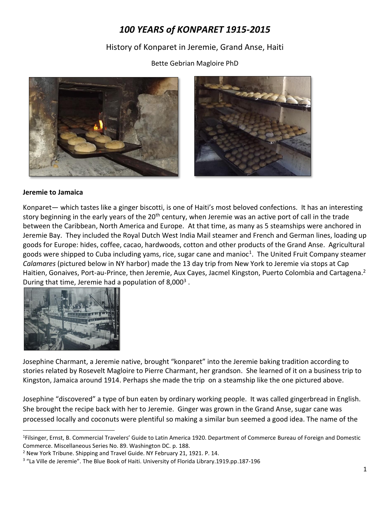# *100 YEARS of KONPARET 1915-2015*

History of Konparet in Jeremie, Grand Anse, Haiti

Bette Gebrian Magloire PhD





#### **Jeremie to Jamaica**

Konparet— which tastes like a ginger biscotti, is one of Haiti's most beloved confections. It has an interesting story beginning in the early years of the 20<sup>th</sup> century, when Jeremie was an active port of call in the trade between the Caribbean, North America and Europe. At that time, as many as 5 steamships were anchored in Jeremie Bay. They included the Royal Dutch West India Mail steamer and French and German lines, loading up goods for Europe: hides, coffee, cacao, hardwoods, cotton and other products of the Grand Anse. Agricultural goods were shipped to Cuba including yams, rice, sugar cane and manioc<sup>1</sup>. The United Fruit Company steamer *Calamares* (pictured below in NY harbor) made the 13 day trip from New York to Jeremie via stops at Cap Haitien, Gonaives, Port-au-Prince, then Jeremie, Aux Cayes, Jacmel Kingston, Puerto Colombia and Cartagena.<sup>2</sup> During that time, Jeremie had a population of 8,000<sup>3</sup>.



 $\overline{\phantom{a}}$ 

Josephine Charmant, a Jeremie native, brought "konparet" into the Jeremie baking tradition according to stories related by Rosevelt Magloire to Pierre Charmant, her grandson. She learned of it on a business trip to Kingston, Jamaica around 1914. Perhaps she made the trip on a steamship like the one pictured above.

Josephine "discovered" a type of bun eaten by ordinary working people. It was called gingerbread in English. She brought the recipe back with her to Jeremie. Ginger was grown in the Grand Anse, sugar cane was processed locally and coconuts were plentiful so making a similar bun seemed a good idea. The name of the

<sup>&</sup>lt;sup>1</sup>Filsinger, Ernst, B. Commercial Travelers' Guide to Latin America 1920. Department of Commerce Bureau of Foreign and Domestic Commerce. Miscellaneous Series No. 89. Washington DC. p. 188.

<sup>2</sup> New York Tribune. Shipping and Travel Guide. NY February 21, 1921. P. 14.

<sup>&</sup>lt;sup>3</sup> "La Ville de Jeremie". The Blue Book of Haiti. University of Florida Library.1919.pp.187-196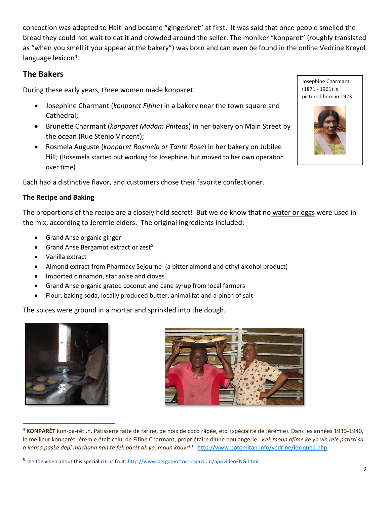concoction was adapted to Haiti and became "gingerbret" at first. It was said that once people smelled the bread they could not wait to eat it and crowded around the seller. The moniker "konparet" (roughly translated as "when you smell it you appear at the bakery") was born and can even be found in the online Vedrine Kreyol language lexicon<sup>4</sup>.

## **The Bakers**

During these early years, three women made konparet.

- Josephine Charmant (*konparet Fifine*) in a bakery near the town square and Cathedral;
- Brunette Charmant (*konparet Madam Phiteas*) in her bakery on Main Street by the ocean (Rue Stenio Vincent);
- Rosmela Auguste (*konparet Rosmela or Tante Rose*) in her bakery on Jubilee Hill; (Rosemela started out working for Josephine, but moved to her own operation over time)

Each had a distinctive flavor, and customers chose their favorite confectioner.

#### **The Recipe and Baking**

The proportions of the recipe are a closely held secret! But we do know that no water or eggs were used in the mix, according to Jeremie elders. The original ingredients included:

- Grand Anse organic ginger
- Grand Anse Bergamot extract or zest<sup>5</sup>
- Vanilla extract
- Almond extract from Pharmacy Sejourne (a bitter almond and ethyl alcohol product)
- Imported cinnamon, star anise and cloves
- Grand Anse organic grated coconut and cane syrup from local farmers
- Flour, baking soda, locally produced butter, animal fat and a pinch of salt

The spices were ground in a mortar and sprinkled into the dough.



 $\overline{\phantom{a}}$ 



<sup>4</sup> **KONPARÈT** kon-pa-rèt .n. Pâtisserie faite de farine, de noix de coco râpée, etc. (spécialité de Jérémie). Dans les années 1930-1940, le meilleur konparèt Jérémie était celui de Fifine Charmant, propriétaire d'une boulangerie. *Kèk moun afime ke yo vin rele patisri sa a konsa paske depi machann nan te fèk parèt ak yo, moun kouvri l*. <http://www.potomitan.info/vedrine/lexique1.php>

Josephine Charmant (1871 - 1961) is pictured here in 1923.



<sup>&</sup>lt;sup>5</sup> see the video about this special citrus fruit:<http://www.bergamottoconsorzio.it/aprivideoENG.html>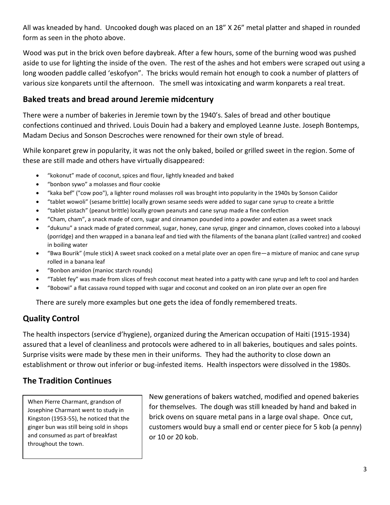All was kneaded by hand. Uncooked dough was placed on an 18" X 26" metal platter and shaped in rounded form as seen in the photo above.

Wood was put in the brick oven before daybreak. After a few hours, some of the burning wood was pushed aside to use for lighting the inside of the oven. The rest of the ashes and hot embers were scraped out using a long wooden paddle called 'eskofyon". The bricks would remain hot enough to cook a number of platters of various size konparets until the afternoon. The smell was intoxicating and warm konparets a real treat.

### **Baked treats and bread around Jeremie midcentury**

There were a number of bakeries in Jeremie town by the 1940's. Sales of bread and other boutique confections continued and thrived. Louis Douin had a bakery and employed Leanne Juste. Joseph Bontemps, Madam Decius and Sonson Descroches were renowned for their own style of bread.

While konparet grew in popularity, it was not the only baked, boiled or grilled sweet in the region. Some of these are still made and others have virtually disappeared:

- "kokonut" made of coconut, spices and flour, lightly kneaded and baked
- "bonbon sywo" a molasses and flour cookie
- "kaka bef" ("cow poo"), a lighter round molasses roll was brought into popularity in the 1940s by Sonson Caiidor
- "tablet wowoli" (sesame brittle) locally grown sesame seeds were added to sugar cane syrup to create a brittle
- "tablet pistach" (peanut brittle) locally grown peanuts and cane syrup made a fine confection
- "Cham, cham", a snack made of corn, sugar and cinnamon pounded into a powder and eaten as a sweet snack
- "dukunu" a snack made of grated cornmeal, sugar, honey, cane syrup, ginger and cinnamon, cloves cooked into a labouyi (porridge) and then wrapped in a banana leaf and tied with the filaments of the banana plant (called vantrez) and cooked in boiling water
- "Bwa Bourik" (mule stick) A sweet snack cooked on a metal plate over an open fire—a mixture of manioc and cane syrup rolled in a banana leaf
- "Bonbon amidon (manioc starch rounds)
- "Tablet fey" was made from slices of fresh coconut meat heated into a patty with cane syrup and left to cool and harden
- "Bobowi" a flat cassava round topped with sugar and coconut and cooked on an iron plate over an open fire

There are surely more examples but one gets the idea of fondly remembered treats.

# **Quality Control**

The health inspectors (service d'hygiene), organized during the American occupation of Haiti (1915-1934) assured that a level of cleanliness and protocols were adhered to in all bakeries, boutiques and sales points. Surprise visits were made by these men in their uniforms. They had the authority to close down an establishment or throw out inferior or bug-infested items. Health inspectors were dissolved in the 1980s.

# **The Tradition Continues**

When Pierre Charmant, grandson of Josephine Charmant went to study in Kingston (1953-55), he noticed that the ginger bun was still being sold in shops and consumed as part of breakfast throughout the town.

New generations of bakers watched, modified and opened bakeries for themselves. The dough was still kneaded by hand and baked in brick ovens on square metal pans in a large oval shape. Once cut, customers would buy a small end or center piece for 5 kob (a penny) or 10 or 20 kob.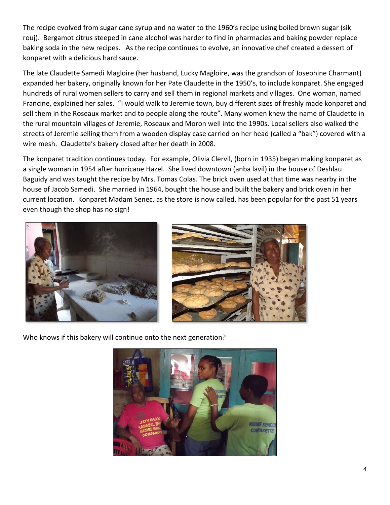The recipe evolved from sugar cane syrup and no water to the 1960's recipe using boiled brown sugar (sik rouj). Bergamot citrus steeped in cane alcohol was harder to find in pharmacies and baking powder replace baking soda in the new recipes. As the recipe continues to evolve, an innovative chef created a dessert of konparet with a delicious hard sauce.

The late Claudette Samedi Magloire (her husband, Lucky Magloire, was the grandson of Josephine Charmant) expanded her bakery, originally known for her Pate Claudette in the 1950's, to include konparet. She engaged hundreds of rural women sellers to carry and sell them in regional markets and villages. One woman, named Francine, explained her sales. "I would walk to Jeremie town, buy different sizes of freshly made konparet and sell them in the Roseaux market and to people along the route". Many women knew the name of Claudette in the rural mountain villages of Jeremie, Roseaux and Moron well into the 1990s. Local sellers also walked the streets of Jeremie selling them from a wooden display case carried on her head (called a "bak") covered with a wire mesh. Claudette's bakery closed after her death in 2008.

The konparet tradition continues today. For example, Olivia Clervil, (born in 1935) began making konparet as a single woman in 1954 after hurricane Hazel. She lived downtown (anba lavil) in the house of Deshlau Baguidy and was taught the recipe by Mrs. Tomas Colas. The brick oven used at that time was nearby in the house of Jacob Samedi. She married in 1964, bought the house and built the bakery and brick oven in her current location. Konparet Madam Senec, as the store is now called, has been popular for the past 51 years even though the shop has no sign!





Who knows if this bakery will continue onto the next generation?